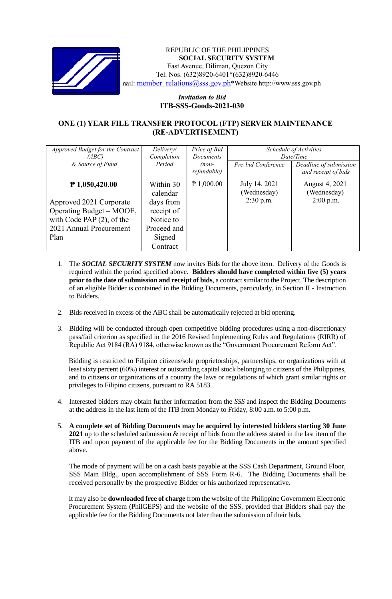

## REPUBLIC OF THE PHILIPPINES **SOCIAL SECURITY SYSTEM** East Avenue, Diliman, Quezon City Tel. Nos. (632)8920-6401\*(632)8920-6446 nail: [member\\_relations@sss.gov.ph](mailto:member_relations@sss.gov.ph)\*Website http://www.sss.gov.ph

## *Invitation to Bid*  **ITB-SSS-Goods-2021-030**

## **ONE (1) YEAR FILE TRANSFER PROTOCOL (FTP) SERVER MAINTENANCE (RE-ADVERTISEMENT)**

| Approved Budget for the Contract<br>(ABC) | Delivery/<br>Completion | Price of Bid<br>Documents | Schedule of Activities<br>Date/Time |                                               |
|-------------------------------------------|-------------------------|---------------------------|-------------------------------------|-----------------------------------------------|
| & Source of Fund                          | Period                  | $(non-$<br>refundable)    | Pre-bid Conference                  | Deadline of submission<br>and receipt of bids |
| $P$ 1,050,420.00                          | Within 30<br>calendar   | $P$ 1,000.00              | July 14, 2021<br>(Wednesday)        | August 4, 2021<br>(Wednesday)                 |
| Approved 2021 Corporate                   | days from               |                           | $2:30$ p.m.                         | $2:00$ p.m.                                   |
| Operating Budget – MOOE,                  | receipt of              |                           |                                     |                                               |
| with Code PAP $(2)$ , of the              | Notice to               |                           |                                     |                                               |
| 2021 Annual Procurement                   | Proceed and             |                           |                                     |                                               |
| Plan                                      | Signed                  |                           |                                     |                                               |
|                                           | Contract                |                           |                                     |                                               |

- 1. The *SOCIAL SECURITY SYSTEM* now invites Bids for the above item. Delivery of the Goods is required within the period specified above. **Bidders should have completed within five (5) years prior to the date of submission and receipt of bids**, a contract similar to the Project. The description of an eligible Bidder is contained in the Bidding Documents, particularly, in Section II - Instruction to Bidders.
- 2. Bids received in excess of the ABC shall be automatically rejected at bid opening.
- 3. Bidding will be conducted through open competitive bidding procedures using a non-discretionary pass/fail criterion as specified in the 2016 Revised Implementing Rules and Regulations (RIRR) of Republic Act 9184 (RA) 9184, otherwise known as the "Government Procurement Reform Act".

Bidding is restricted to Filipino citizens/sole proprietorships, partnerships, or organizations with at least sixty percent (60%) interest or outstanding capital stock belonging to citizens of the Philippines, and to citizens or organizations of a country the laws or regulations of which grant similar rights or privileges to Filipino citizens, pursuant to RA 5183.

- 4. Interested bidders may obtain further information from the *SSS* and inspect the Bidding Documents at the address in the last item of the ITB from Monday to Friday, 8:00 a.m. to 5:00 p.m.
- 5. **A complete set of Bidding Documents may be acquired by interested bidders starting 30 June 2021** up to the scheduled submission & receipt of bids from the address stated in the last item of the ITB and upon payment of the applicable fee for the Bidding Documents in the amount specified above.

The mode of payment will be on a cash basis payable at the SSS Cash Department, Ground Floor, SSS Main Bldg., upon accomplishment of SSS Form R-6. The Bidding Documents shall be received personally by the prospective Bidder or his authorized representative.

It may also be **downloaded free of charge** from the website of the Philippine Government Electronic Procurement System (PhilGEPS) and the website of the SSS*,* provided that Bidders shall pay the applicable fee for the Bidding Documents not later than the submission of their bids.